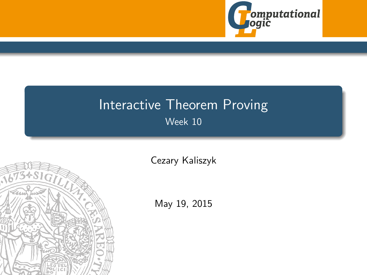

# <span id="page-0-0"></span>Interactive Theorem Proving Week 10



[Cezary Kaliszyk](http://cl-informatik.uibk.ac.at/~cek)

May 19, 2015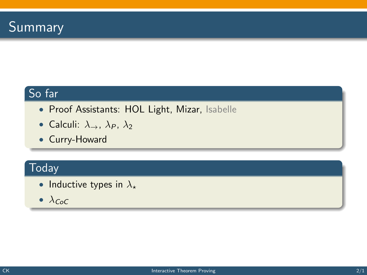## So far

- Proof Assistants: HOL Light, Mizar, Isabelle
- Calculi:  $\lambda_{\rightarrow}$ ,  $\lambda_{P}$ ,  $\lambda_{2}$
- Curry-Howard

# **Today**

- Inductive types in  $\lambda_{\star}$
- $\lambda_{CoC}$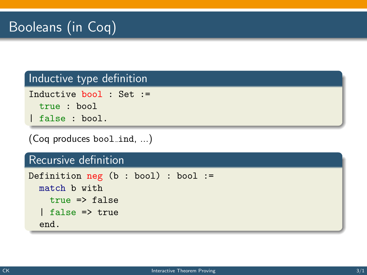### Inductive type definition

```
Inductive bool : Set :=
 true : bool
| false : bool.
```
(Coq produces bool\_ind, ...)

#### Recursive definition

```
Definition neg (b : bool) : bool :=
 match b with
    true => false
  | false => true
  end.
```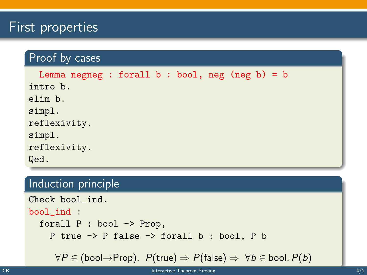# First properties

### Proof by cases

```
Lemma negneg : forall b : bool, neg (neg b) = bintro b.
elim b.
simpl.
reflexivity.
simpl.
reflexivity.
Qed.
```
#### Induction principle

```
Check bool_ind.
bool_ind :
  forall P : bool -> Prop,
    P true -> P false -> forall b : bool, P b
```

```
\forall P \in (bool \rightarrow Prop). P(true) \Rightarrow P(false) \Rightarrow \forall b \in bool. P(b)
```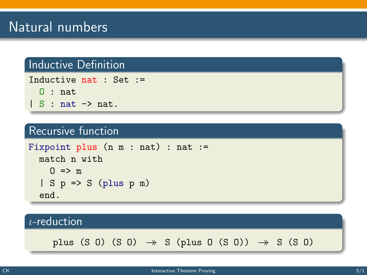#### Inductive Definition

```
Inductive nat : Set :=
  0 : nat| S : nat \rightarrow nat.
```
#### Recursive function

```
Fixpoint plus (n m : nat) : nat :=
  match n with
    0 \implies m| S p \Rightarrow S (plus p m)
  end.
```
#### ι-reduction

plus (S 0) (S 0)  $\rightarrow$  S (plus 0 (S 0))  $\rightarrow$  S (S 0)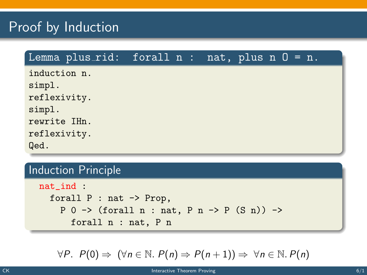# Proof by Induction

### Lemma plus\_rid: forall  $n :$  nat, plus  $n 0 = n$ . induction n. simpl. reflexivity. simpl. rewrite IHn. reflexivity. Qed.

### Induction Principle

nat\_ind : forall P : nat -> Prop, P 0 -> (forall n : nat, P n -> P (S n)) -> forall n : nat, P n

$$
\forall P. \ P(0) \Rightarrow (\forall n \in \mathbb{N}. \ P(n) \Rightarrow P(n+1)) \Rightarrow \forall n \in \mathbb{N}. P(n)
$$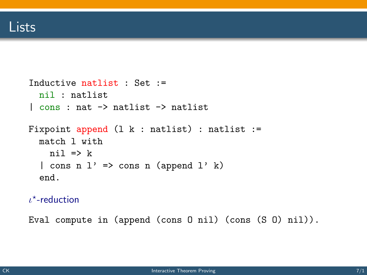```
Inductive natlist : Set :=
 nil : natlist
| cons : nat -> natlist -> natlist
Fixpoint append (l k : natlist) : natlist :=match l with
   ni1 = > k| cons n l' => cons n (append l' k)
  end.
```
 $\iota^*$ -reduction

Eval compute in (append (cons O nil) (cons (S O) nil)).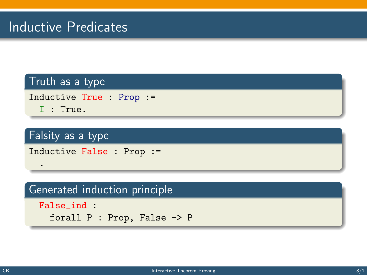# Inductive Predicates

#### Truth as a type

Inductive True : Prop :=

I : True.

.

### Falsity as a type

Inductive False : Prop :=

#### Generated induction principle

```
False_ind :
 forall P : Prop, False -> P
```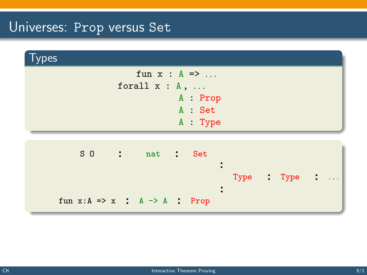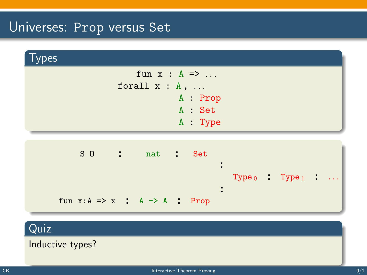

Quiz

Inductive types?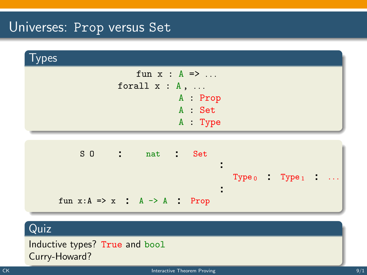

### Quiz

Inductive types? True and bool Curry-Howard?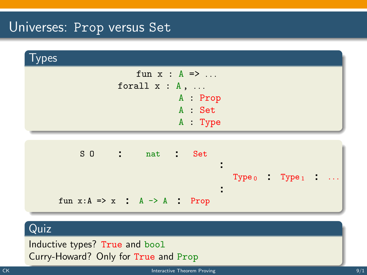

#### Quiz

Inductive types? True and bool Curry-Howard? Only for True and Prop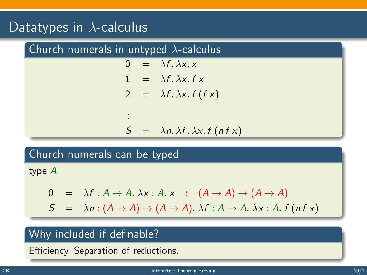# Datatypes in  $\overline{\lambda}$ -calculus

| Church numerals in untyped $\lambda$ -calculus |    |  |                                                 |
|------------------------------------------------|----|--|-------------------------------------------------|
|                                                |    |  | $0 = \lambda f. \lambda x. x$                   |
|                                                |    |  | $1 = \lambda f, \lambda x, f x$                 |
|                                                |    |  | 2 = $\lambda f. \lambda x. f(f x)$              |
|                                                | ł. |  |                                                 |
|                                                |    |  | $S = \lambda n. \lambda f. \lambda x. f(n f x)$ |

#### Church numerals can be typed

type A

$$
0 = \lambda f : A \to A. \lambda x : A. x : (A \to A) \to (A \to A)
$$
  
\n
$$
S = \lambda n : (A \to A) \to (A \to A). \lambda f : A \to A. \lambda x : A. f (n f x)
$$

## Why included if definable?

Efficiency, Separation of reductions.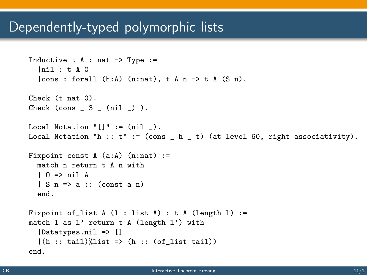# Dependently-typed polymorphic lists

```
Inductive t A : nat \rightarrow Type :=|nil : t A 0
  |cons : for all (h:A) (n:nat), t A n \rightarrow t A (S n).Check (t nat 0).
Check \frac{\cosh 3}{\cosh 3} \frac{\cosh 1}{\cosh 2}.
Local Notation "[]" := (nil).
Local Notation "h :: t'' := (cons _ h _ t) (at level 60, right associativity).
Fixpoint const A (a:A) (n:nat) :=
  match n return t A n with
  | O => nil A
  | S n => a :: (const a n)
  end.
Fixpoint of list A (1 : list A) : t A (length 1) :=
match l as l' return t A (length l') with
  |Datatypes.nil => []
  |(h :: tail)list => (h :: (of list tail))end.
```